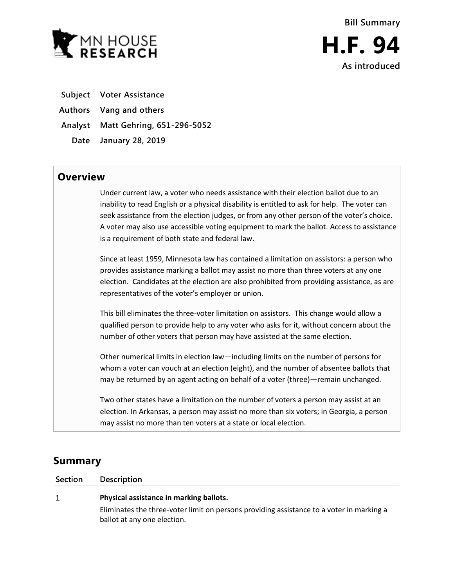

**As introduced**

**Subject Voter Assistance**

**Authors Vang and others**

**Analyst Matt Gehring, 651-296-5052**

**Date January 28, 2019**

## **Overview**

Under current law, a voter who needs assistance with their election ballot due to an inability to read English or a physical disability is entitled to ask for help. The voter can seek assistance from the election judges, or from any other person of the voter's choice. A voter may also use accessible voting equipment to mark the ballot. Access to assistance is a requirement of both state and federal law.

Since at least 1959, Minnesota law has contained a limitation on assistors: a person who provides assistance marking a ballot may assist no more than three voters at any one election. Candidates at the election are also prohibited from providing assistance, as are representatives of the voter's employer or union.

This bill eliminates the three-voter limitation on assistors. This change would allow a qualified person to provide help to any voter who asks for it, without concern about the number of other voters that person may have assisted at the same election.

Other numerical limits in election law—including limits on the number of persons for whom a voter can vouch at an election (eight), and the number of absentee ballots that may be returned by an agent acting on behalf of a voter (three)—remain unchanged.

Two other states have a limitation on the number of voters a person may assist at an election. In Arkansas, a person may assist no more than six voters; in Georgia, a person may assist no more than ten voters at a state or local election.

## **Summary**

 $1\,$ 

**Section Description**

**Physical assistance in marking ballots.**

Eliminates the three-voter limit on persons providing assistance to a voter in marking a ballot at any one election.